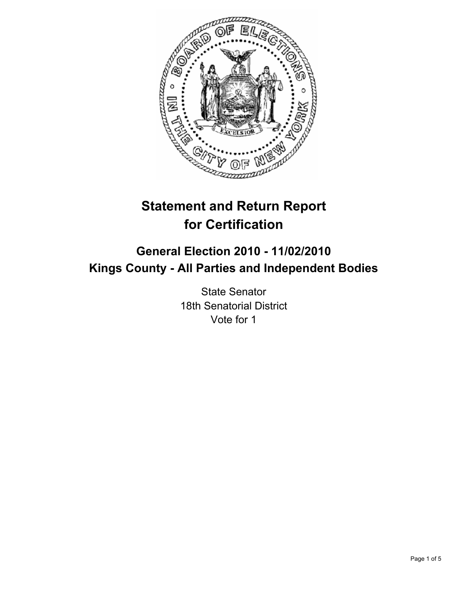

# **Statement and Return Report for Certification**

## **General Election 2010 - 11/02/2010 Kings County - All Parties and Independent Bodies**

State Senator 18th Senatorial District Vote for 1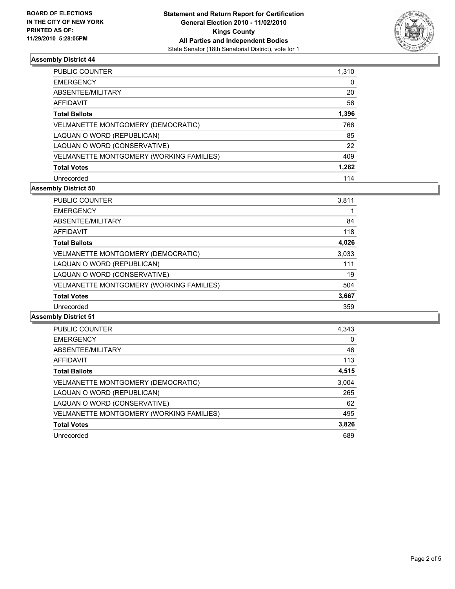

## **Assembly District 44**

| <b>PUBLIC COUNTER</b>                    | 1,310 |
|------------------------------------------|-------|
| <b>EMERGENCY</b>                         | 0     |
| ABSENTEE/MILITARY                        | 20    |
| AFFIDAVIT                                | 56    |
| <b>Total Ballots</b>                     | 1,396 |
| VELMANETTE MONTGOMERY (DEMOCRATIC)       | 766   |
| LAQUAN O WORD (REPUBLICAN)               | 85    |
| LAQUAN O WORD (CONSERVATIVE)             | 22    |
| VELMANETTE MONTGOMERY (WORKING FAMILIES) | 409   |
| <b>Total Votes</b>                       | 1,282 |
| Unrecorded                               | 114   |

#### **Assembly District 50**

| <b>PUBLIC COUNTER</b>                    | 3,811 |
|------------------------------------------|-------|
| <b>EMERGENCY</b>                         |       |
| ABSENTEE/MILITARY                        | 84    |
| AFFIDAVIT                                | 118   |
| <b>Total Ballots</b>                     | 4,026 |
| VELMANETTE MONTGOMERY (DEMOCRATIC)       | 3,033 |
| LAQUAN O WORD (REPUBLICAN)               | 111   |
| LAQUAN O WORD (CONSERVATIVE)             | 19    |
| VELMANETTE MONTGOMERY (WORKING FAMILIES) | 504   |
| <b>Total Votes</b>                       | 3,667 |
| Unrecorded                               | 359   |

#### **Assembly District 51**

| <b>PUBLIC COUNTER</b>                    | 4,343 |
|------------------------------------------|-------|
| <b>EMERGENCY</b>                         | 0     |
| ABSENTEE/MILITARY                        | 46    |
| <b>AFFIDAVIT</b>                         | 113   |
| <b>Total Ballots</b>                     | 4,515 |
| VELMANETTE MONTGOMERY (DEMOCRATIC)       | 3,004 |
| LAQUAN O WORD (REPUBLICAN)               | 265   |
| LAQUAN O WORD (CONSERVATIVE)             | 62    |
| VELMANETTE MONTGOMERY (WORKING FAMILIES) | 495   |
| <b>Total Votes</b>                       | 3,826 |
| Unrecorded                               | 689   |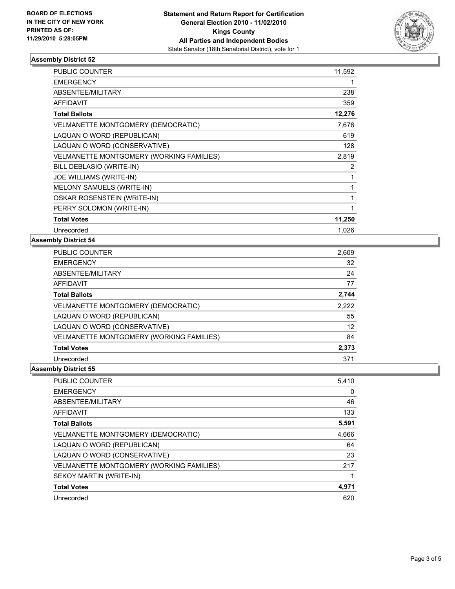

## **Assembly District 52**

| <b>PUBLIC COUNTER</b>                           | 11,592 |
|-------------------------------------------------|--------|
| <b>EMERGENCY</b>                                |        |
| ABSENTEE/MILITARY                               | 238    |
| <b>AFFIDAVIT</b>                                | 359    |
| <b>Total Ballots</b>                            | 12,276 |
| <b>VELMANETTE MONTGOMERY (DEMOCRATIC)</b>       | 7,678  |
| LAQUAN O WORD (REPUBLICAN)                      | 619    |
| LAQUAN O WORD (CONSERVATIVE)                    | 128    |
| <b>VELMANETTE MONTGOMERY (WORKING FAMILIES)</b> | 2,819  |
| BILL DEBLASIO (WRITE-IN)                        | 2      |
| <b>JOE WILLIAMS (WRITE-IN)</b>                  | 1      |
| <b>MELONY SAMUELS (WRITE-IN)</b>                | 1      |
| OSKAR ROSENSTEIN (WRITE-IN)                     | 1      |
| PERRY SOLOMON (WRITE-IN)                        | 1      |
| <b>Total Votes</b>                              | 11,250 |
| Unrecorded                                      | 1,026  |

#### **Assembly District 54**

| <b>PUBLIC COUNTER</b>                    | 2,609 |
|------------------------------------------|-------|
| <b>EMERGENCY</b>                         | 32    |
| ABSENTEE/MILITARY                        | 24    |
| <b>AFFIDAVIT</b>                         | 77    |
| <b>Total Ballots</b>                     | 2,744 |
| VELMANETTE MONTGOMERY (DEMOCRATIC)       | 2,222 |
| LAQUAN O WORD (REPUBLICAN)               | 55    |
| LAQUAN O WORD (CONSERVATIVE)             | 12    |
| VELMANETTE MONTGOMERY (WORKING FAMILIES) | 84    |
| <b>Total Votes</b>                       | 2,373 |
| Unrecorded                               | 371   |

#### **Assembly District 55**

| <b>PUBLIC COUNTER</b>                     | 5,410 |
|-------------------------------------------|-------|
| <b>EMERGENCY</b>                          | 0     |
| ABSENTEE/MILITARY                         | 46    |
| <b>AFFIDAVIT</b>                          | 133   |
| <b>Total Ballots</b>                      | 5,591 |
| <b>VELMANETTE MONTGOMERY (DEMOCRATIC)</b> | 4,666 |
| LAQUAN O WORD (REPUBLICAN)                | 64    |
| LAQUAN O WORD (CONSERVATIVE)              | 23    |
| VELMANETTE MONTGOMERY (WORKING FAMILIES)  | 217   |
| SEKOY MARTIN (WRITE-IN)                   |       |
| <b>Total Votes</b>                        | 4,971 |
| Unrecorded                                | 620   |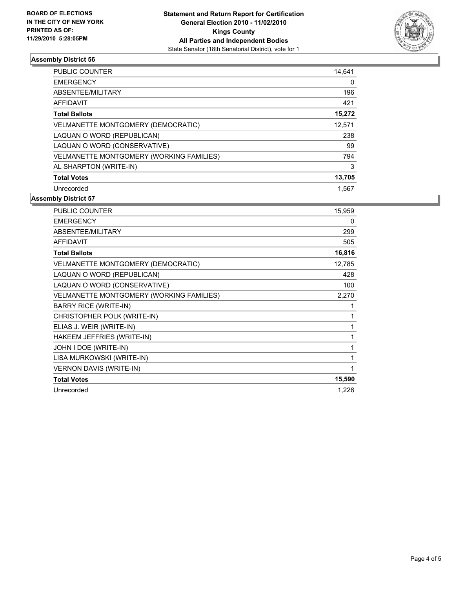

#### **Assembly District 56**

| <b>PUBLIC COUNTER</b>                           | 14,641 |
|-------------------------------------------------|--------|
| <b>EMERGENCY</b>                                | 0      |
| ABSENTEE/MILITARY                               | 196    |
| <b>AFFIDAVIT</b>                                | 421    |
| <b>Total Ballots</b>                            | 15,272 |
| <b>VELMANETTE MONTGOMERY (DEMOCRATIC)</b>       | 12,571 |
| LAQUAN O WORD (REPUBLICAN)                      | 238    |
| LAQUAN O WORD (CONSERVATIVE)                    | 99     |
| <b>VELMANETTE MONTGOMERY (WORKING FAMILIES)</b> | 794    |
| AL SHARPTON (WRITE-IN)                          | 3      |
| <b>Total Votes</b>                              | 13,705 |
| Unrecorded                                      | 1.567  |

#### **Assembly District 57**

| PUBLIC COUNTER                           | 15,959 |
|------------------------------------------|--------|
| <b>EMERGENCY</b>                         | 0      |
| ABSENTEE/MILITARY                        | 299    |
| <b>AFFIDAVIT</b>                         | 505    |
| <b>Total Ballots</b>                     | 16,816 |
| VELMANETTE MONTGOMERY (DEMOCRATIC)       | 12,785 |
| LAQUAN O WORD (REPUBLICAN)               | 428    |
| LAQUAN O WORD (CONSERVATIVE)             | 100    |
| VELMANETTE MONTGOMERY (WORKING FAMILIES) | 2,270  |
| <b>BARRY RICE (WRITE-IN)</b>             | 1      |
| CHRISTOPHER POLK (WRITE-IN)              | 1      |
| ELIAS J. WEIR (WRITE-IN)                 | 1      |
| HAKEEM JEFFRIES (WRITE-IN)               | 1      |
| JOHN I DOE (WRITE-IN)                    | 1      |
| LISA MURKOWSKI (WRITE-IN)                | 1      |
| <b>VERNON DAVIS (WRITE-IN)</b>           | 1      |
| <b>Total Votes</b>                       | 15,590 |
| Unrecorded                               | 1,226  |